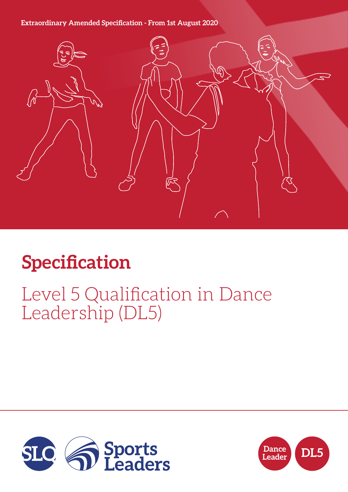## **Extraordinary Amended Specification - From 1st August 2020**



# **Specification**

## Level 5 Qualification in Dance Leadership (DL5)



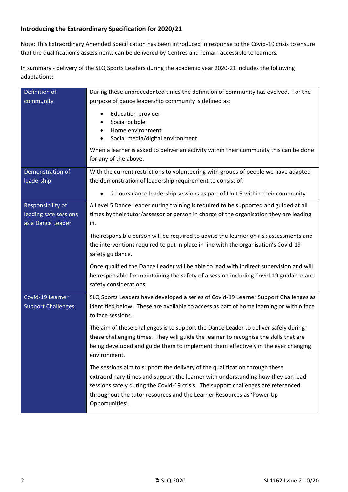#### **Introducing the Extraordinary Specification for 2020/21**

Note: This Extraordinary Amended Specification has been introduced in response to the Covid-19 crisis to ensure that the qualification's assessments can be delivered by Centres and remain accessible to learners.

In summary - delivery of the SLQ Sports Leaders during the academic year 2020-21 includes the following adaptations:

| Definition of                                                   | During these unprecedented times the definition of community has evolved. For the                                                                                                                                                                                                                                                                |  |  |
|-----------------------------------------------------------------|--------------------------------------------------------------------------------------------------------------------------------------------------------------------------------------------------------------------------------------------------------------------------------------------------------------------------------------------------|--|--|
| community                                                       | purpose of dance leadership community is defined as:                                                                                                                                                                                                                                                                                             |  |  |
|                                                                 | <b>Education provider</b><br>Social bubble<br>Home environment<br>٠<br>Social media/digital environment                                                                                                                                                                                                                                          |  |  |
|                                                                 | When a learner is asked to deliver an activity within their community this can be done<br>for any of the above.                                                                                                                                                                                                                                  |  |  |
| Demonstration of<br>leadership                                  | With the current restrictions to volunteering with groups of people we have adapted<br>the demonstration of leadership requirement to consist of:                                                                                                                                                                                                |  |  |
|                                                                 | 2 hours dance leadership sessions as part of Unit 5 within their community<br>$\bullet$                                                                                                                                                                                                                                                          |  |  |
| Responsibility of<br>leading safe sessions<br>as a Dance Leader | A Level 5 Dance Leader during training is required to be supported and guided at all<br>times by their tutor/assessor or person in charge of the organisation they are leading<br>in.                                                                                                                                                            |  |  |
|                                                                 | The responsible person will be required to advise the learner on risk assessments and<br>the interventions required to put in place in line with the organisation's Covid-19<br>safety guidance.                                                                                                                                                 |  |  |
|                                                                 | Once qualified the Dance Leader will be able to lead with indirect supervision and will<br>be responsible for maintaining the safety of a session including Covid-19 guidance and<br>safety considerations.                                                                                                                                      |  |  |
| Covid-19 Learner<br><b>Support Challenges</b>                   | SLQ Sports Leaders have developed a series of Covid-19 Learner Support Challenges as<br>identified below. These are available to access as part of home learning or within face<br>to face sessions.                                                                                                                                             |  |  |
|                                                                 | The aim of these challenges is to support the Dance Leader to deliver safely during<br>these challenging times. They will guide the learner to recognise the skills that are<br>being developed and guide them to implement them effectively in the ever changing<br>environment.                                                                |  |  |
|                                                                 | The sessions aim to support the delivery of the qualification through these<br>extraordinary times and support the learner with understanding how they can lead<br>sessions safely during the Covid-19 crisis. The support challenges are referenced<br>throughout the tutor resources and the Learner Resources as 'Power Up<br>Opportunities'. |  |  |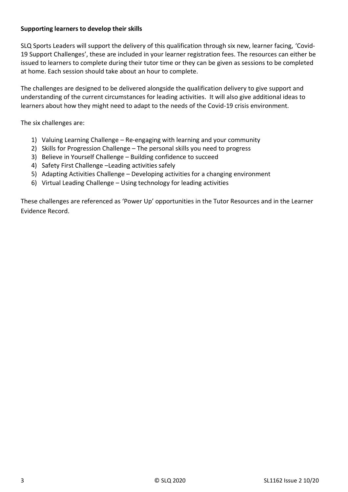#### **Supporting learners to develop their skills**

SLQ Sports Leaders will support the delivery of this qualification through six new, learner facing, 'Covid-19 Support Challenges', these are included in your learner registration fees. The resources can either be issued to learners to complete during their tutor time or they can be given as sessions to be completed at home. Each session should take about an hour to complete.

The challenges are designed to be delivered alongside the qualification delivery to give support and understanding of the current circumstances for leading activities. It will also give additional ideas to learners about how they might need to adapt to the needs of the Covid-19 crisis environment.

The six challenges are:

- 1) Valuing Learning Challenge Re-engaging with learning and your community
- 2) Skills for Progression Challenge The personal skills you need to progress
- 3) Believe in Yourself Challenge Building confidence to succeed
- 4) Safety First Challenge –Leading activities safely
- 5) Adapting Activities Challenge Developing activities for a changing environment
- 6) Virtual Leading Challenge Using technology for leading activities

These challenges are referenced as 'Power Up' opportunities in the Tutor Resources and in the Learner Evidence Record.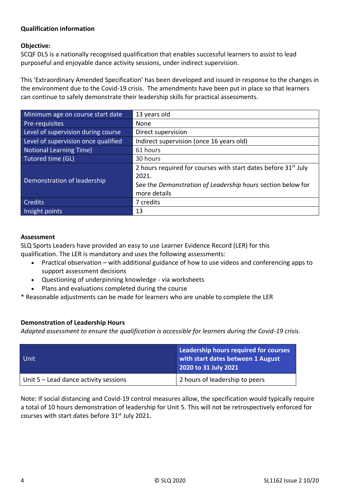#### **Qualification information**

#### **Objective:**

SCQF DL5 is a nationally recognised qualification that enables successful learners to assist to lead purposeful and enjoyable dance activity sessions, under indirect supervision.

This 'Extraordinary Amended Specification' has been developed and issued in response to the changes in the environment due to the Covid-19 crisis. The amendments have been put in place so that learners can continue to safely demonstrate their leadership skills for practical assessments.

| Minimum age on course start date    | 13 years old                                                               |
|-------------------------------------|----------------------------------------------------------------------------|
| Pre-requisites                      | None                                                                       |
| Level of supervision during course  | Direct supervision                                                         |
| Level of supervision once qualified | Indirect supervision (once 16 years old)                                   |
| Notional Learning Time)             | 61 hours                                                                   |
| Tutored time (GL)                   | 30 hours                                                                   |
|                                     | 2 hours required for courses with start dates before 31 <sup>st</sup> July |
| Demonstration of leadership         | 2021.                                                                      |
|                                     | See the Demonstration of Leadership hours section below for                |
|                                     | more details                                                               |
| <b>Credits</b>                      | 7 credits                                                                  |
| Insight points                      | 13                                                                         |

#### **Assessment**

SLQ Sports Leaders have provided an easy to use Learner Evidence Record (LER) for this qualification. The LER is mandatory and uses the following assessments:

- Practical observation with additional guidance of how to use videos and conferencing apps to support assessment decisions
- Questioning of underpinning knowledge via worksheets
- Plans and evaluations completed during the course

\* Reasonable adjustments can be made for learners who are unable to complete the LER

#### **Demonstration of Leadership Hours**

*Adapted assessment to ensure the qualification is accessible for learners during the Covid-19 crisis.*

| Unit                                    | Leadership hours required for courses<br>with start dates between 1 August<br>2020 to 31 July 2021 |
|-----------------------------------------|----------------------------------------------------------------------------------------------------|
| Unit $5$ – Lead dance activity sessions | 2 hours of leadership to peers                                                                     |

Note: If social distancing and Covid-19 control measures allow, the specification would typically require a total of 10 hours demonstration of leadership for Unit 5. This will not be retrospectively enforced for courses with start dates before 31<sup>st</sup> July 2021.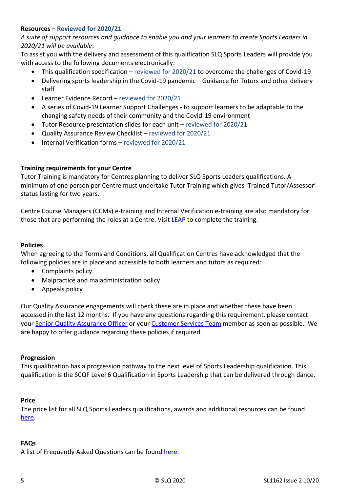#### **Resources – Reviewed for 2020/21**

*A suite of support resources and guidance to enable you and your learners to create Sports Leaders in 2020/21 will be available*.

To assist you with the delivery and assessment of this qualification SLQ Sports Leaders will provide you with access to the following documents electronically:

- This qualification specification reviewed for 2020/21 to overcome the challenges of Covid-19
- Delivering sports leadership in the Covid-19 pandemic Guidance for Tutors and other delivery staff
- Learner Evidence Record reviewed for 2020/21
- A series of Covid-19 Learner Support Challenges to support learners to be adaptable to the changing safety needs of their community and the Covid-19 environment
- Tutor Resource presentation slides for each unit reviewed for 2020/21
- Quality Assurance Review Checklist reviewed for 2020/21
- Internal Verification forms reviewed for 2020/21

#### **Training requirements for your Centre**

Tutor Training is mandatory for Centres planning to deliver SLQ Sports Leaders qualifications. A minimum of one person per Centre must undertake Tutor Training which gives 'Trained Tutor/Assessor' status lasting for two years.

Centre Course Managers (CCMs) e-training and Internal Verification e-training are also mandatory for those that are performing the roles at a Centre. Visit [LEAP](https://leap.slqskills.org/training-menu/?def=1) to complete the training.

#### **Policies**

When agreeing to the Terms and Conditions, all Qualification Centres have acknowledged that the following policies are in place and accessible to both learners and tutors as required:

- Complaints policy
- Malpractice and maladministration policy
- Appeals policy

Our Quality Assurance engagements will check these are in place and whether these have been accessed in the last 12 months. If you have any questions regarding this requirement, please contact your [Senior Quality Assurance Officer](https://www.sportsleaders.org/about-us-1/meet-the-team-1) or your [Customer Services Team](https://www.sportsleaders.org/about-us-1/meet-the-team-1) member as soon as possible. We are happy to offer guidance regarding these policies if required.

#### **Progression**

This qualification has a progression pathway to the next level of Sports Leadership qualification. This qualification is the SCQF Level 6 Qualification in Sports Leadership that can be delivered through dance.

#### **Price**

The price list for all SLQ Sports Leaders qualifications, awards and additional resources can be found [here.](https://www.sportsleaders.org/about-us-1/prices)

#### **FAQs**

A list of Frequently Asked Questions can be found [here.](https://www.sportsleaders.org/about-us-1/faqs)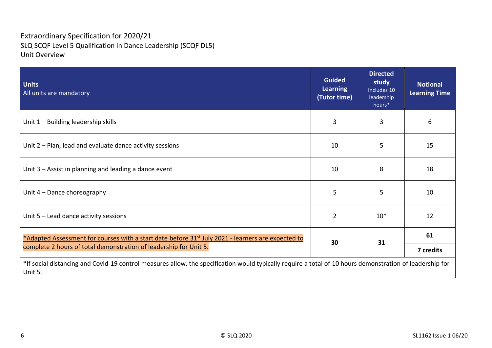## Extraordinary Specification for 2020/21 SLQ SCQF Level 5 Qualification in Dance Leadership (SCQF DL5) Unit Overview

| <b>Units</b><br>All units are mandatory                                                                                                                                             | <b>Guided</b><br><b>Learning</b><br>(Tutor time) | <b>Directed</b><br>study<br>Includes 10<br>leadership<br>hours* | <b>Notional</b><br><b>Learning Time</b> |
|-------------------------------------------------------------------------------------------------------------------------------------------------------------------------------------|--------------------------------------------------|-----------------------------------------------------------------|-----------------------------------------|
| Unit 1 - Building leadership skills                                                                                                                                                 | 3                                                | 3                                                               | 6                                       |
| Unit 2 – Plan, lead and evaluate dance activity sessions                                                                                                                            | 10                                               | 5                                                               | 15                                      |
| Unit 3 – Assist in planning and leading a dance event                                                                                                                               | 10                                               | 8                                                               | 18                                      |
| Unit $4$ – Dance choreography                                                                                                                                                       | 5                                                | 5                                                               | 10                                      |
| Unit $5$ – Lead dance activity sessions                                                                                                                                             | $\overline{2}$                                   | $10*$                                                           | 12                                      |
| *Adapted Assessment for courses with a start date before 31 <sup>st</sup> July 2021 - learners are expected to<br>complete 2 hours of total demonstration of leadership for Unit 5. |                                                  | 31                                                              | 61                                      |
|                                                                                                                                                                                     |                                                  |                                                                 | 7 credits                               |
| *If social distancing and Covid-19 control measures allow, the specification would typically require a total of 10 hours demonstration of leadership for<br>Unit 5.                 |                                                  |                                                                 |                                         |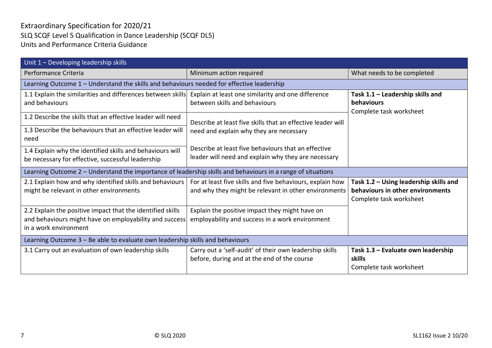## Extraordinary Specification for 2020/21 SLQ SCQF Level 5 Qualification in Dance Leadership (SCQF DL5) Units and Performance Criteria Guidance

| Unit 1 - Developing leadership skills                                                                                                         |                                                                                                                   |                                                                                                       |  |  |
|-----------------------------------------------------------------------------------------------------------------------------------------------|-------------------------------------------------------------------------------------------------------------------|-------------------------------------------------------------------------------------------------------|--|--|
| Performance Criteria                                                                                                                          | Minimum action required                                                                                           | What needs to be completed                                                                            |  |  |
|                                                                                                                                               | Learning Outcome 1 - Understand the skills and behaviours needed for effective leadership                         |                                                                                                       |  |  |
| 1.1 Explain the similarities and differences between skills<br>and behaviours                                                                 | Explain at least one similarity and one difference<br>between skills and behaviours                               | Task 1.1 - Leadership skills and<br>behaviours<br>Complete task worksheet                             |  |  |
| 1.2 Describe the skills that an effective leader will need                                                                                    | Describe at least five skills that an effective leader will                                                       |                                                                                                       |  |  |
| 1.3 Describe the behaviours that an effective leader will<br>need                                                                             | need and explain why they are necessary                                                                           |                                                                                                       |  |  |
| 1.4 Explain why the identified skills and behaviours will<br>be necessary for effective, successful leadership                                | Describe at least five behaviours that an effective<br>leader will need and explain why they are necessary        |                                                                                                       |  |  |
| Learning Outcome 2 – Understand the importance of leadership skills and behaviours in a range of situations                                   |                                                                                                                   |                                                                                                       |  |  |
| 2.1 Explain how and why identified skills and behaviours<br>might be relevant in other environments                                           | For at least five skills and five behaviours, explain how<br>and why they might be relevant in other environments | Task 1.2 - Using leadership skills and<br>behaviours in other environments<br>Complete task worksheet |  |  |
| 2.2 Explain the positive impact that the identified skills<br>and behaviours might have on employability and success<br>in a work environment | Explain the positive impact they might have on<br>employability and success in a work environment                 |                                                                                                       |  |  |
| Learning Outcome 3 - Be able to evaluate own leadership skills and behaviours                                                                 |                                                                                                                   |                                                                                                       |  |  |
| 3.1 Carry out an evaluation of own leadership skills                                                                                          | Carry out a 'self-audit' of their own leadership skills<br>before, during and at the end of the course            | Task 1.3 - Evaluate own leadership<br>skills<br>Complete task worksheet                               |  |  |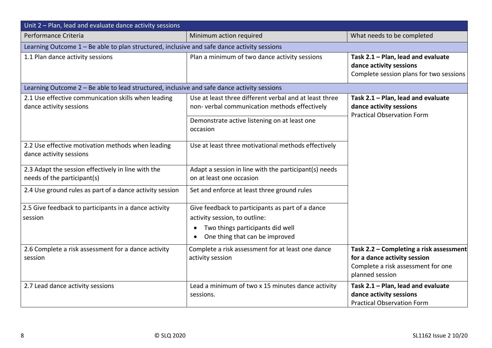| Unit 2 - Plan, lead and evaluate dance activity sessions                                    |                                                                                                        |                                                                                                                                  |  |  |
|---------------------------------------------------------------------------------------------|--------------------------------------------------------------------------------------------------------|----------------------------------------------------------------------------------------------------------------------------------|--|--|
| Performance Criteria                                                                        | Minimum action required                                                                                | What needs to be completed                                                                                                       |  |  |
| Learning Outcome 1 - Be able to plan structured, inclusive and safe dance activity sessions |                                                                                                        |                                                                                                                                  |  |  |
| 1.1 Plan dance activity sessions                                                            | Plan a minimum of two dance activity sessions                                                          | Task 2.1 - Plan, lead and evaluate<br>dance activity sessions<br>Complete session plans for two sessions                         |  |  |
| Learning Outcome 2 - Be able to lead structured, inclusive and safe dance activity sessions |                                                                                                        |                                                                                                                                  |  |  |
| 2.1 Use effective communication skills when leading<br>dance activity sessions              | Use at least three different verbal and at least three<br>non-verbal communication methods effectively | Task 2.1 - Plan, lead and evaluate<br>dance activity sessions<br><b>Practical Observation Form</b>                               |  |  |
|                                                                                             | Demonstrate active listening on at least one<br>occasion                                               |                                                                                                                                  |  |  |
| 2.2 Use effective motivation methods when leading<br>dance activity sessions                | Use at least three motivational methods effectively                                                    |                                                                                                                                  |  |  |
| 2.3 Adapt the session effectively in line with the<br>needs of the participant(s)           | Adapt a session in line with the participant(s) needs<br>on at least one occasion                      |                                                                                                                                  |  |  |
| 2.4 Use ground rules as part of a dance activity session                                    | Set and enforce at least three ground rules                                                            |                                                                                                                                  |  |  |
| 2.5 Give feedback to participants in a dance activity<br>session                            | Give feedback to participants as part of a dance<br>activity session, to outline:                      |                                                                                                                                  |  |  |
|                                                                                             | Two things participants did well<br>One thing that can be improved                                     |                                                                                                                                  |  |  |
| 2.6 Complete a risk assessment for a dance activity<br>session                              | Complete a risk assessment for at least one dance<br>activity session                                  | Task 2.2 - Completing a risk assessment<br>for a dance activity session<br>Complete a risk assessment for one<br>planned session |  |  |
| 2.7 Lead dance activity sessions                                                            | Lead a minimum of two x 15 minutes dance activity<br>sessions.                                         | Task 2.1 - Plan, lead and evaluate<br>dance activity sessions<br><b>Practical Observation Form</b>                               |  |  |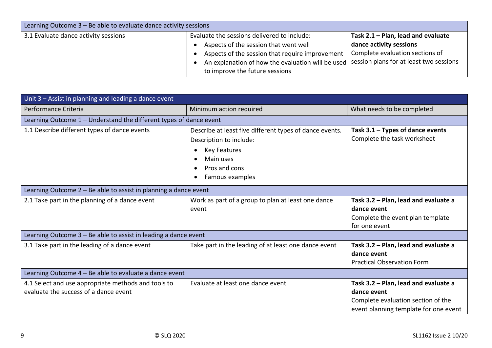| Learning Outcome 3 - Be able to evaluate dance activity sessions |                                                                                           |                                    |  |
|------------------------------------------------------------------|-------------------------------------------------------------------------------------------|------------------------------------|--|
| 3.1 Evaluate dance activity sessions                             | Evaluate the sessions delivered to include:                                               | Task 2.1 - Plan, lead and evaluate |  |
|                                                                  | Aspects of the session that went well                                                     | dance activity sessions            |  |
|                                                                  | Aspects of the session that require improvement                                           | Complete evaluation sections of    |  |
|                                                                  | An explanation of how the evaluation will be used session plans for at least two sessions |                                    |  |
|                                                                  | to improve the future sessions                                                            |                                    |  |

| Unit 3 - Assist in planning and leading a dance event                                        |                                                                                                                                                            |                                                                                                                                    |  |
|----------------------------------------------------------------------------------------------|------------------------------------------------------------------------------------------------------------------------------------------------------------|------------------------------------------------------------------------------------------------------------------------------------|--|
| Performance Criteria                                                                         | Minimum action required                                                                                                                                    | What needs to be completed                                                                                                         |  |
| Learning Outcome 1 – Understand the different types of dance event                           |                                                                                                                                                            |                                                                                                                                    |  |
| 1.1 Describe different types of dance events                                                 | Describe at least five different types of dance events.<br>Description to include:<br><b>Key Features</b><br>Main uses<br>Pros and cons<br>Famous examples | Task $3.1$ – Types of dance events<br>Complete the task worksheet                                                                  |  |
| Learning Outcome $2 - Be$ able to assist in planning a dance event                           |                                                                                                                                                            |                                                                                                                                    |  |
| 2.1 Take part in the planning of a dance event                                               | Work as part of a group to plan at least one dance<br>event                                                                                                | Task 3.2 - Plan, lead and evaluate a<br>dance event<br>Complete the event plan template<br>for one event                           |  |
| Learning Outcome 3 - Be able to assist in leading a dance event                              |                                                                                                                                                            |                                                                                                                                    |  |
| 3.1 Take part in the leading of a dance event                                                | Take part in the leading of at least one dance event                                                                                                       | Task 3.2 - Plan, lead and evaluate a<br>dance event<br><b>Practical Observation Form</b>                                           |  |
| Learning Outcome 4 - Be able to evaluate a dance event                                       |                                                                                                                                                            |                                                                                                                                    |  |
| 4.1 Select and use appropriate methods and tools to<br>evaluate the success of a dance event | Evaluate at least one dance event                                                                                                                          | Task 3.2 - Plan, lead and evaluate a<br>dance event<br>Complete evaluation section of the<br>event planning template for one event |  |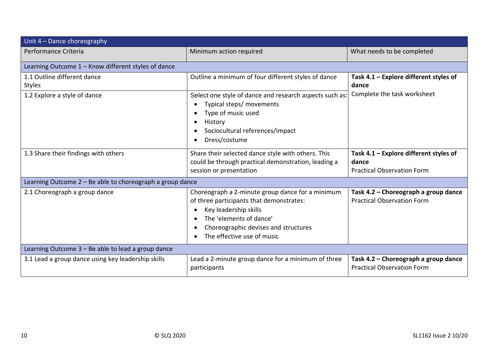| Unit 4 - Dance choreography                               |                                                                                                                                                                                                                        |                                                                                      |  |  |
|-----------------------------------------------------------|------------------------------------------------------------------------------------------------------------------------------------------------------------------------------------------------------------------------|--------------------------------------------------------------------------------------|--|--|
| Performance Criteria                                      | Minimum action required                                                                                                                                                                                                | What needs to be completed                                                           |  |  |
| Learning Outcome 1 - Know different styles of dance       |                                                                                                                                                                                                                        |                                                                                      |  |  |
| 1.1 Outline different dance<br><b>Styles</b>              | Outline a minimum of four different styles of dance                                                                                                                                                                    | Task 4.1 - Explore different styles of<br>dance                                      |  |  |
| 1.2 Explore a style of dance                              | Select one style of dance and research aspects such as:<br>Typical steps/ movements<br>Type of music used<br>History<br>Sociocultural references/impact<br>Dress/costume                                               | Complete the task worksheet                                                          |  |  |
| 1.3 Share their findings with others                      | Share their selected dance style with others. This<br>could be through practical demonstration, leading a<br>session or presentation                                                                                   | Task 4.1 - Explore different styles of<br>dance<br><b>Practical Observation Form</b> |  |  |
| Learning Outcome 2 - Be able to choreograph a group dance |                                                                                                                                                                                                                        |                                                                                      |  |  |
| 2.1 Choreograph a group dance                             | Choreograph a 2-minute group dance for a minimum<br>of three participants that demonstrates:<br>Key leadership skills<br>The 'elements of dance'<br>Choreographic devises and structures<br>The effective use of music | Task 4.2 - Choreograph a group dance<br><b>Practical Observation Form</b>            |  |  |
| Learning Outcome 3 - Be able to lead a group dance        |                                                                                                                                                                                                                        |                                                                                      |  |  |
| 3.1 Lead a group dance using key leadership skills        | Lead a 2-minute group dance for a minimum of three<br>participants                                                                                                                                                     | Task 4.2 - Choreograph a group dance<br><b>Practical Observation Form</b>            |  |  |